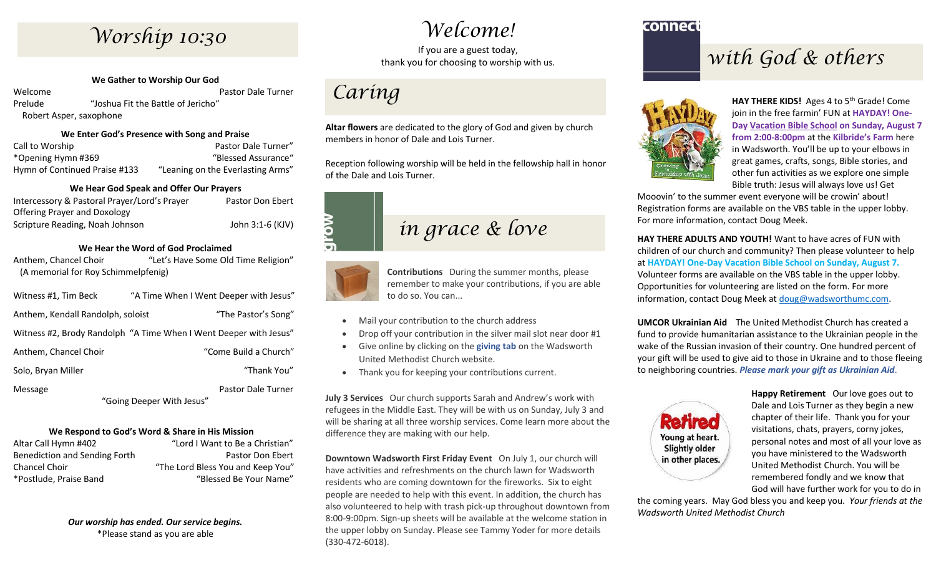# Worship 10:30

**We Gather to Worship Our God** Welcome Pastor Dale Turner

Prelude "Joshua Fit the Battle of Jericho" Robert Asper, saxophone

#### **We Enter God's Presence with Song and Praise**

| Call to Worship               | Pastor Dale Turner"               |
|-------------------------------|-----------------------------------|
| *Opening Hymn #369            | "Blessed Assurance"               |
| Hymn of Continued Praise #133 | "Leaning on the Everlasting Arms" |

#### **We Hear God Speak and Offer Our Prayers**

| Intercessory & Pastoral Prayer/Lord's Prayer | Pastor Don Ebert |
|----------------------------------------------|------------------|
| Offering Prayer and Doxology                 |                  |
| Scripture Reading, Noah Johnson              | John 3:1-6 (KJV) |

#### **We Hear the Word of God Proclaimed**

Anthem, Chancel Choir "Let's Have Some Old Time Religion" (A memorial for Roy Schimmelpfenig)

| Witness #1, Tim Beck                                              | "A Time When I Went Deeper with Jesus" |  |
|-------------------------------------------------------------------|----------------------------------------|--|
| Anthem, Kendall Randolph, soloist                                 | "The Pastor's Song"                    |  |
| Witness #2, Brody Randolph "A Time When I Went Deeper with Jesus" |                                        |  |
| Anthem, Chancel Choir                                             | "Come Build a Church"                  |  |
| Solo, Bryan Miller                                                | "Thank You"                            |  |
| Message                                                           | <b>Pastor Dale Turner</b>              |  |
| "Going Deeper With Jesus"                                         |                                        |  |

#### **We Respond to God's Word & Share in His Mission**

| Altar Call Hymn #402          | "Lord I Want to Be a Christian"   |
|-------------------------------|-----------------------------------|
| Benediction and Sending Forth | Pastor Don Ebert                  |
| Chancel Choir                 | "The Lord Bless You and Keep You" |
| *Postlude. Praise Band        | "Blessed Be Your Name"            |

*Our worship has ended. Our service begins.* \*Please stand as you are able

### *Welcome!*

If you are a guest today, thank you for choosing to worship with us.

### *Caring*

**Altar flowers** are dedicated to the glory of God and given by church members in honor of Dale and Lois Turner.

Reception following worship will be held in the fellowship hall in honor of the Dale and Lois Turner.





**Contributions** During the summer months, please remember to make your contributions, if you are able to do so. You can...

- Mail your contribution to the church address
- Drop off your contribution in the silver mail slot near door #1
- Give online by clicking on the **giving tab** on the Wadsworth United Methodist Church website.
- Thank you for keeping your contributions current.

**July 3 Services** Our church supports Sarah and Andrew's work with refugees in the Middle East. They will be with us on Sunday, July 3 and will be sharing at all three worship services. Come learn more about the difference they are making with our help.

**Downtown Wadsworth First Friday Event** On July 1, our church will have activities and refreshments on the church lawn for Wadsworth residents who are coming downtown for the fireworks. Six to eight people are needed to help with this event. In addition, the church has also volunteered to help with trash pick-up throughout downtown from 8:00-9:00pm. Sign-up sheets will be available at the welcome station in the upper lobby on Sunday. Please see Tammy Yoder for more details (330-472-6018).

#### connect

### *with God & others*



**HAY THERE KIDS!** Ages 4 to 5th Grade! Come join in the free farmin' FUN at **HAYDAY! One-Day Vacation Bible School on Sunday, August 7 from 2:00-8:00pm** at the **Kilbride's Farm** here in Wadsworth. You'll be up to your elbows in great games, crafts, songs, Bible stories, and other fun activities as we explore one simple Bible truth: Jesus will always love us! Get

Mooovin' to the summer event everyone will be crowin' about! Registration forms are available on the VBS table in the upper lobby. For more information, contact Doug Meek.

**HAY THERE ADULTS AND YOUTH!** Want to have acres of FUN with children of our church and community? Then please volunteer to help at **HAYDAY! One-Day Vacation Bible School on Sunday, August 7.** Volunteer forms are available on the VBS table in the upper lobby. Opportunities for volunteering are listed on the form. For more information, contact Doug Meek at [doug@wadsworthumc.com.](mailto:doug@wadsworthumc.com)

**UMCOR Ukrainian Aid** The United Methodist Church has created a fund to provide humanitarian assistance to the Ukrainian people in the wake of the Russian invasion of their country. One hundred percent of your gift will be used to give aid to those in Ukraine and to those fleeing to neighboring countries. *Please mark your gift as Ukrainian Aid*.



**Happy Retirement** Our love goes out to Dale and Lois Turner as they begin a new chapter of their life. Thank you for your visitations, chats, prayers, corny jokes, personal notes and most of all your love as you have ministered to the Wadsworth United Methodist Church. You will be remembered fondly and we know that God will have further work for you to do in

the coming years. May God bless you and keep you. *Your friends at the Wadsworth United Methodist Church*